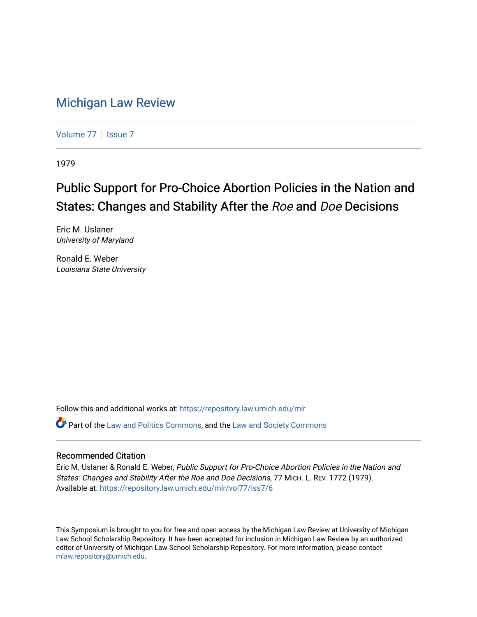# [Michigan Law Review](https://repository.law.umich.edu/mlr)

[Volume 77](https://repository.law.umich.edu/mlr/vol77) | [Issue 7](https://repository.law.umich.edu/mlr/vol77/iss7)

1979

# Public Support for Pro-Choice Abortion Policies in the Nation and States: Changes and Stability After the Roe and Doe Decisions

Eric M. Uslaner University of Maryland

Ronald E. Weber Louisiana State University

Follow this and additional works at: [https://repository.law.umich.edu/mlr](https://repository.law.umich.edu/mlr?utm_source=repository.law.umich.edu%2Fmlr%2Fvol77%2Fiss7%2F6&utm_medium=PDF&utm_campaign=PDFCoverPages) 

 $\bullet$  Part of the [Law and Politics Commons,](http://network.bepress.com/hgg/discipline/867?utm_source=repository.law.umich.edu%2Fmlr%2Fvol77%2Fiss7%2F6&utm_medium=PDF&utm_campaign=PDFCoverPages) and the Law and Society Commons

## Recommended Citation

Eric M. Uslaner & Ronald E. Weber, Public Support for Pro-Choice Abortion Policies in the Nation and States: Changes and Stability After the Roe and Doe Decisions, 77 MICH. L. REV. 1772 (1979). Available at: [https://repository.law.umich.edu/mlr/vol77/iss7/6](https://repository.law.umich.edu/mlr/vol77/iss7/6?utm_source=repository.law.umich.edu%2Fmlr%2Fvol77%2Fiss7%2F6&utm_medium=PDF&utm_campaign=PDFCoverPages)

This Symposium is brought to you for free and open access by the Michigan Law Review at University of Michigan Law School Scholarship Repository. It has been accepted for inclusion in Michigan Law Review by an authorized editor of University of Michigan Law School Scholarship Repository. For more information, please contact [mlaw.repository@umich.edu.](mailto:mlaw.repository@umich.edu)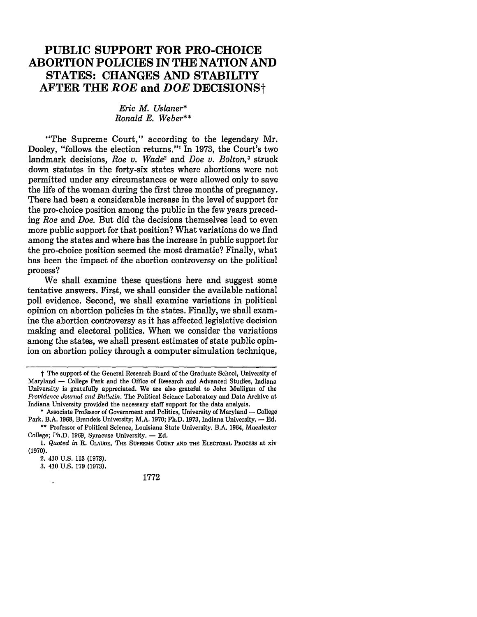# **PUBLIC SUPPORT FOR PRO-CHOICE ABORTION POLICIES IN THE NATION AND STATES: CHANGES AND STABILITY AFTER THE** *ROE* **and** *DOE* **DECISIONSt**

# *Eric M. Uslaner\* Ronald E. Weber\*\**

"The Supreme Court," according to the legendary Mr. Dooley, "follows the election returns." 1 In 1973, the Court's two landmark decisions, *Roe v. Wade*<sup>2</sup> and *Doe v. Bolton*,<sup>3</sup> struck down statutes in the forty-six states where abortions were not permitted under any circumstances or were allowed only to save the life of the woman during the first three months of pregnancy. There had been a considerable increase in the level of support for the pro-choice position among the public in the few years preceding *Roe* and *Doe.* But did the decisions themselves lead to even more public support for that position? What variations do we find among the states and where has the increase in public support for the pro-choice position seemed the most dramatic? Finally, what has been the impact of the abortion controversy on the political process?

We shall examine these questions here and suggest some tentative answers. First, we shall consider the available national poll evidence. Second, we shall examine variations in political opinion on abortion policies in the states. Finally, we shall examine the abortion controversy as it has affected legislative decision making and electoral politics. When we consider the variations among the states, we shall present estimates of state public opinion on abortion policy through a computer simulation technique,

2. 410 U.S. 113 (1973).

 $\overline{\phantom{a}}$ 

3. 410 U.S. 179 (1973).

1772

t The support of the General Research Board of the Graduate School, University of Maryland - College Park and the Office of Research and Advanced Studies, Indiana University is gratefully appreciated. We are also grateful to John Mulligan of the *Providence Journal and Bulletin.* The Political Science Laboratory and Data Archive at Indiana University provided the necessary staff support for the data analysis.

<sup>\*</sup> Associate Professor of Government and Politics, University of Maryland - College Park. B.A. 1968, Brandeis University; M.A. 1970; Ph.D. 1973, Indiana University.  $-$  Ed.

<sup>\*\*</sup> Professor of Political Science, Louisiana State University. B.A. 1964, Macalester College; Ph.D. 1969, Syracuse University. - Ed.

<sup>1.</sup> *Quoted in* R. CLAUDE, THE SUPREME COURT AND THE ELECTORAL PROCESS at xiv (1970).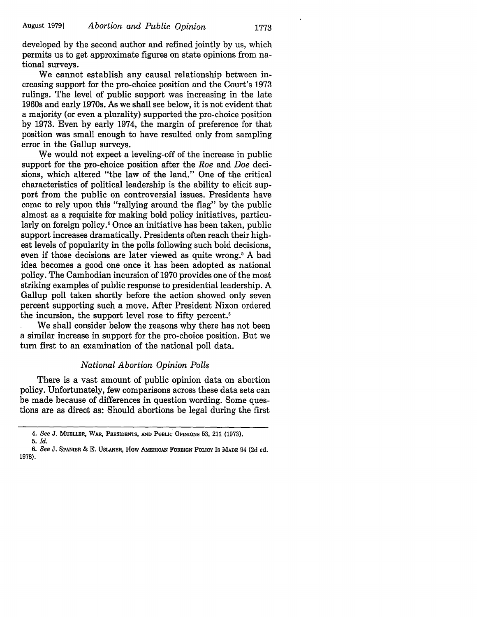developed by the second author and refined jointly by us, which permits us to get approximate figures on state opinions from national surveys.

We cannot establish any causal relationship between increasing support for the pro-choice position and the Court's 1973 rulings. The level of public support was increasing in the late 1960s and early 1970s. As we shall see below, it is not evident that a majority (or even a plurality) supported the pro-choice position by 1973. Even by early 1974, the margin of preference for that position was small enough to have resulted only from sampling error in the Gallup surveys.

We would not expect a leveling-off of the increase in public support for the pro-choice position after the *Roe* and *Doe* decisions, which altered "the law of the land." One of the critical characteristics of political leadership is the ability to elicit support from the public on controversial issues. Presidents have come to rely upon this "rallying around the flag" by the public almost as a requisite for making bold policy initiatives, particularly on foreign policy.4 Once an initiative has been taken, public support increases dramatically. Presidents often reach their highest levels of popularity in the polls following such bold decisions, even if those decisions are later viewed as quite wrong.<sup>5</sup> A bad idea becomes a good one once it has been adopted as national policy. The Cambodian incursion of 1970 provides one of the most striking examples of public response to presidential leadership. A Gallup poll taken shortly before the action showed only seven percent supporting such a move. After President Nixon ordered the incursion, the support level rose to fifty percent.<sup>6</sup>

We shall consider below the reasons why there has not been a similar increase in support for the pro-choice position. But we turn first to an examination of the national poll data.

# *National Abortion Opinion Polls*

There is a vast amount of public opinion data on abortion policy. Unfortunately, few comparisons across these data sets can be made because of differences in question wording. Some questions are as direct as: Should abortions be legal during the first

6. *See* J. SPANIER & E. UsLANER, How AMERICAN FOREIGN PouCY Is MADE 94 (2d ed. 1978).

<sup>4.</sup> *See* J. MUELLER, WAR, PRESIDENTS, AND PUBuc· OPINIONS 53, 211 (1973).

<sup>5.</sup> *Id.*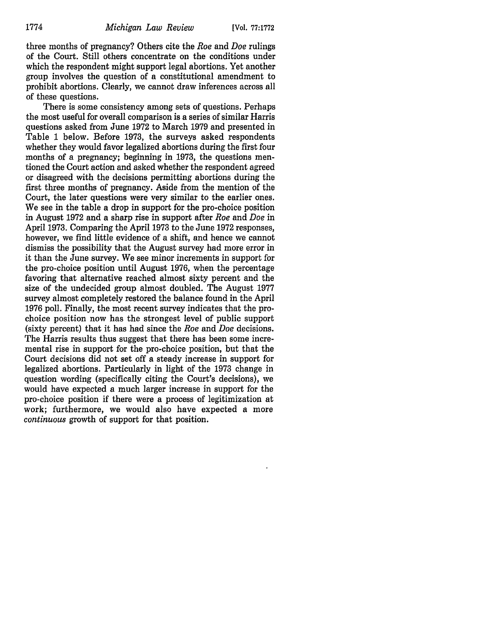three months of pregnancy? Others cite the *Roe* and *Doe* rulings of the Court. Still others concentrate on the conditions under which the respondent might support legal abortions. Yet another group involves the question of a constitutional amendment to prohibit abortions. Clearly, we cannot draw inferences across all of these questions.

There is some consistency among sets of questions. Perhaps the most useful for overall comparison is a series of similar Harris questions asked from June 1972 to March 1979 and presented in Table 1 below. Before 1973, the surveys asked respondents whether they would favor legalized abortions during the first four months of a pregnancy; beginning in 1973, the questions mentioned the Court action and asked whether the respondent agreed or disagreed with the decisions permitting abortions during the first three months of pregnancy. Aside from the mention of the Court, the later questions were very similar to the earlier ones. We see in the table a drop in support for the pro-choice position in August 1972 and a sharp rise in support after *Roe* and *Doe* in April 1973. Comparing the April 1973 to the June 1972 responses, however, we find little evidence of a shift, and hence we cannot dismiss the possibility that the August survey had more error in it than the June survey. We see minor increments in support for the pro-choice position until August 1976, when the percentage favoring that alternative reached almost sixty percent and the size of the undecided group almost doubled. The August 1977 survey almost completely restored the balance found in the April 1976 poll. Finally, the most recent survey indicates that the prochoice position now has the strongest level of public support (sixty percent) that it has had since the *Roe* and *Doe* decisions. The Harris results thus suggest that there has been some incremental rise in support for the pro-choice position, but that the Court decisions did not set off a steady increase in support for legalized abortions. Particularly in light of the 1973 change in question wording (specifically citing the Court's decisions), we would have expected a much larger increase in support for the pro-choice position if there were a process of legitimization at work; furthermore, we would also have expected a more *continuous* growth of support for that position.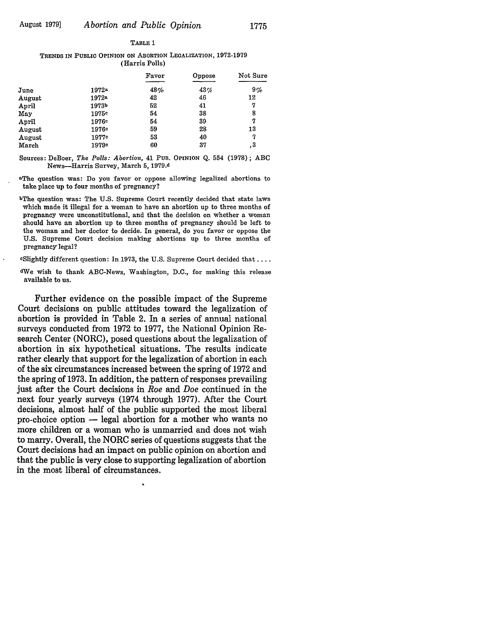#### TRENDS IN PUBLIC OPINION ON ABORTION LEGALIZATION, 1972-1979 (Harris Polls)

|        |                   | Favor | Oppose | Not Sure |
|--------|-------------------|-------|--------|----------|
| June   | 1972a             | 48%   | 43%    | 9%       |
| August | 1972 <sup>a</sup> | 42    | 46     | 12       |
| April  | 1973b             | 52    | 41     | 7        |
| May    | 1975 <sup>c</sup> | 54    | 38     | 8        |
| April  | 1976 <sup>c</sup> | 54    | 39     | 7        |
| August | 1976 <sup>c</sup> | 59    | 28     | 13       |
| August | 1977 <sup>c</sup> | 53    | 40     | 7        |
| March  | 1979c             | 60    | 37     | , 3      |

Sources: DeBoer, *The Polls: Abortion,* 41 PUB. OPINION Q. 554 (1978); ABC News-Harris Survey, March 5, 1979.d

nThe question was: Do you favor or oppose allowing legalized abortions to take place up to four months of pregnancy?

bThe question was: The U.S. Supreme Court recently decided that state laws which made it illegal for a woman to have an abortion up to three months of pregnancy were unconstitutional, and that the decision on whether a woman should have an abortion up to three months of pregnancy should be left to the woman and her doctor to decide. In general, do you favor or oppose the U.S. Supreme Court decision making abortions up to three months of pregnancy' legal?

 $\text{eSlightly different question:}$  In 1973, the U.S. Supreme Court decided that  $\dots$ .

dWe wish to thank ABC-News, Washington, D.C., for making this release available to us.

Further evidence on the possible impact of the Supreme Court decisions on public attitudes toward the legalization of abortion is provided in Table 2. In a series of annual national surveys conducted from 1972 to 1977, the National Opinion Research Center (NORC), posed questions about the legalization of abortion in six hypothetical situations. The results indicate rather clearly that support for the legalization of abortion in each of the six circumstances increased between the spring of 1972 and the spring of 1973. In addition, the pattern of responses prevailing just after the Court decisions in *Roe* and *Doe* continued in the next four yearly surveys (1974 through 1977). After the Court decisions, almost half of the public supported the most liberal pro-choice option - legal abortion for a mother who wants no more children or a woman who is unmarried and does not wish to marry. Overall, the NORC series of questions suggests that the Court decisions had an impact on public opinion on abortion and that the public is very close to supporting legalization of abortion in the most liberal of circumstances.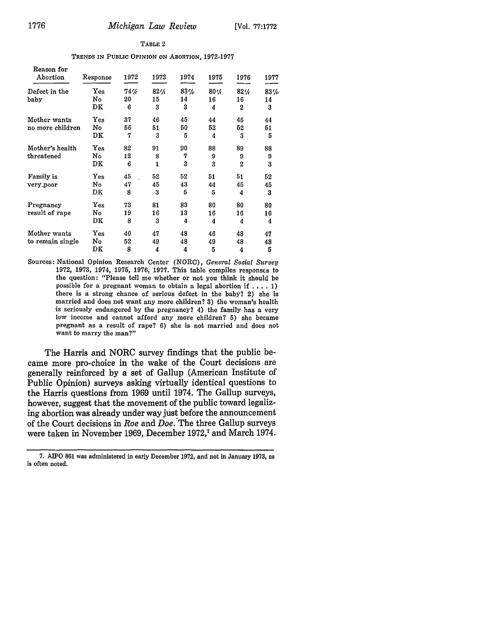#### TRENDS IN PUBLIC OPINION ON ABORTION, 1972-1977

| Reason for<br>Abortion | Response       | 1972 | 1973         | 1974 | 1975 | 1976           | 1977 |
|------------------------|----------------|------|--------------|------|------|----------------|------|
| Defect in the          | Yes            | 74%  | 82%          | 83%  | 80%  | 82%            | 83%  |
| baby                   | No             | 20   | 15           | 14   | 16   | 16             | 14   |
|                        | DK             | 6    | 3            | 3    | 4    | 2              | 3    |
| Mother wants           | $\rm\,Yes$     | 37   | 46           | 45   | 44   | 45             | 44   |
| no more children       | No             | 56   | 51           | 50   | 52   | 52             | 51   |
|                        | DK             | 7    | 3            | 5    | 4    | 3              | 5    |
| Mother's health        | $\mathbf{Yes}$ | 82   | 91           | 90   | 88   | 89             | 88   |
| threatened             | No             | 12   | 8            | 7    | 9    | 9              | 9    |
|                        | DK             | 6    | $\mathbf{1}$ | 3    | 3    | $\overline{2}$ | 3    |
| Family is              | $\rm\,Yes$     | 45   | 52           | 52   | 51   | 51             | 52   |
| very.poor              | No             | 47   | 45           | 43   | 44   | 45             | 45   |
|                        | DK             | 8    | 3            | 5    | 5    | 4              | 3    |
| Pregnancy              | $\mathbf{Yes}$ | 73   | 81           | 83   | 80   | 80             | 80   |
| result of rape         | No             | 19   | 16           | 13   | 16   | 16             | 16   |
|                        | DK             | 8    | 3            | 4    | 4    | 4              | 4    |
| Mother wants           | $\rm Yes$      | 40   | 47           | 48   | 46   | 48             | 47   |
| to remain single       | No             | 52   | 49           | 48   | 49   | 48             | 48   |
|                        | DK             | 8    | 4            | 4    | 5    | 4              | Б    |

Sources: National Opinion Research Center (NORC), *General Social Survey*  1972, 1973, 1974, 1975, 1976, 1977. This table compiles responses to the question: "Please tell me whether or not you think it should be possible for a pregnant woman to obtain a legal abortion if  $\dots$  . 1) there is a strong chance of serious defect in the baby? 2) she is married and does not want any more children? 3) the woman's health is seriously endangered by the pregnancy? 4) the family has a very low income and cannot afford any more children? 5) she became pregnant as a result of rape? 6) she is not married and does not want to marry the man?"

The Harris and NORC survey findings that the public became more pro-choice in the wake of the Court decisions are generally reinforced by a set of Gallup (American Institute of Public Opinion) surveys asking virtually identical questions to the Harris questions from 1969 until 1974. The Gallup surveys, however, suggest that the movement of the public toward legalizing abortion was already under way just before the announcement of the Court decisions in *Roe* and *Doe:The* three Gallup surveys were taken in November 1969, December 1972,7 and March 1974.

<sup>7.</sup> AIPO 861 was administered in early December 1972, and not in January 1973, as is often noted.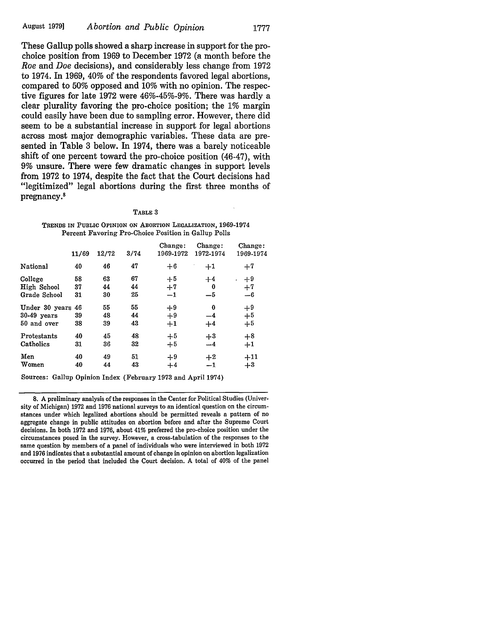These Gallup polls showed a sharp increase in support for the prochoice position from 1969 to December 1972 (a month before the *Roe* and *Doe* decisions), and considerably less change from 1972 to 1974. In 1969, 40% of the respondents favored legal abortions, compared to 50% opposed and 10% with no opinion. The respective figures for late 1972 were 46%-45%-9%. There was hardly a clear plurality favoring the pro-choice position; the  $1\%$  margin could easily have been due to sampling error. However, there did seem to be a substantial increase in support for legal abortions across most major demographic variables. These data are presented in Table 3 below. In 1974, there was a barely noticeable shift of one percent toward the pro-choice position (46-47), with 9% unsure. There were few dramatic changes in support levels from 1972 to 1974, despite the fact that the Court decisions had "legitimized" legal abortions during the first three months of pregnancy. <sup>8</sup>

#### TABLE 3

TRENDS IN PUBLIC OPINION ON ABORTION LEGALIZATION, 1969-1974 Percent Favoring Pro-Choice Position in Gallup Polls

| 11/69             | 12/72 | 3/74 | Change:<br>1969-1972 | Change:<br>1972-1974 | Change:<br>1969-1974 |
|-------------------|-------|------|----------------------|----------------------|----------------------|
| 40                | 46    | 47   | $+6$                 | $+1$                 | $+7$                 |
| 58                | 63    | 67   | $+5$                 | $+4$                 | $+9$                 |
| 37                | 44    | 44   | $+7$                 | 0                    | $+7$                 |
| 31                | 30    | 25   | $-1$                 | $-5$                 | $-6$                 |
| Under 30 years 46 | 55    | 55   | $+9$                 | $\bf{0}$             | $+9$                 |
| 39                | 48    | 44   | $+9$                 | $-4$                 | $+5$                 |
| 38                | 39    | 43   | $+1$                 | $+4$                 | $+5$                 |
| 40                | 45    | 48   | $+5$                 | $+3$                 | $+8$                 |
| 31                | 36    | 32   | $+5$                 | $-4$                 | $+1$                 |
| 40                | 49    | 51   | $+9$                 | $+2$                 | $+11$                |
| 40                | 44    | 43   | $+4$                 | $-1$                 | $+3$                 |
|                   |       |      |                      |                      |                      |

Sources: Gallup Opinion Index (February 1973 and April 1974)

8. A preliminary analysis of the responses in the Center for Political Studies (University of Michigan) 1972 and 1976 national surveys to an identical question on the circumstances under which legalized abortions should be permitted reveals a pattern of no aggregate change in public attitudes on abortion before and after the Supreme Court decisions. In both 1972 and 1976, about 41% preferred the pro-choice position under the circumstances posed in the survey. However, a cross-tabulation of the responses to the same question by members of a panel of individuals who were interviewed in both 1972 and 1976 indicates that a substantial amount of change in opinion on abortion legalization occurred in the period that included the Court decision. A total of 40% of the panel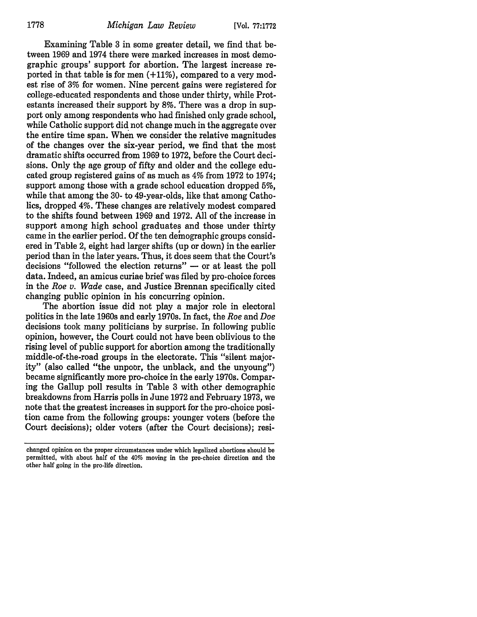Examining Table 3 in some greater detail, we find that between 1969 and 1974 there were marked increases in most demographic groups' support for abortion. The largest increase reported in that table is for men (+11%), compared to a very modest rise of 3% for women. Nine percent gains were registered for college-educated respondents and those under thirty, while Protestants increased their support by 8%. There was a drop in support only among respondents who had finished only grade school, while Catholic support did not change much in the aggregate over the entire time span. When we consider the relative magnitudes of the changes over the six-year period, we find that the most dramatic shifts occurred from 1969 to 1972, before the Court decisions. Only the age group of fifty and older and the college educated group registered gains of as much as 4% from 1972 to 1974; support among those with a grade school education dropped 5%, while that among the 30- to 49-year-olds, like that among Catholics, dropped 4%. These changes are relatively modest compared to the shifts found between 1969 and 1972. All of the increase in support among high school graduates and those under thirty came in the earlier period. Of the ten demographic groups considered in Table 2, eight had larger shifts {up or down) in the earlier period than in the later years. Thus, it does seem that the Court's  $decisions$  "followed the election returns"  $-$  or at least the poll data. Indeed, an amicus curiae brief was filed by pro-choice forces in the *Roe v. Wade* case, and Justice Brennan specifically cited changing public opinion in his concurring opinion.

The abortion issue did not play a major role in electoral politics in the late 1960s and early 1970s. In fact, the *Roe* and *Doe*  decisions took many politicians by surprise. In following public opinion, however, the Court could not have been oblivious to the rising level of public support for abortion among the traditionally middle-of-the-road groups in the electorate. This "silent majority" (also called "the unpoor, the unblack, and the unyoung") became significantly more pro-choice in the early 1970s. Comparing the Gallup poll results in Table 3 with other demographic breakdowns from Harris polls in June 1972 and February 1973, we note that the greatest increases in support for the pro-choice position came from the following groups: younger voters (before the Court decisions); older voters (after the Court decisions); resi-

changed opinion on the proper circumstances under which legalized abortions should be permitted, with about half of the 40% moving in the pro-choice direction and the other half going in the pro-life direction.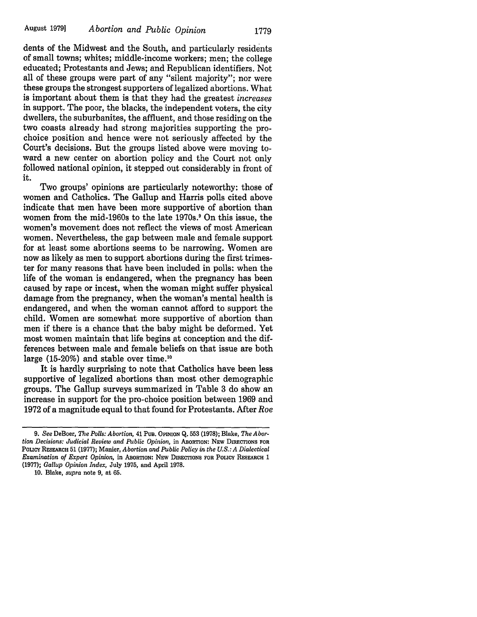dents of the Midwest and the South, and particularly residents of small towns; whites; middle-income workers; men; the college educated; Protestants and Jews; and Republican identifiers. Not all of these groups were part of any "silent majority"; nor were these groups the strongest supporters of legalized abortions. What is important about them is that they had the greatest *increases*  in support. The poor, the blacks, the independent voters, the city dwellers, the suburbanites, the affluent, and those residing on the two coasts already had strong majorities supporting the prochoice position and hence were not seriously affected by the Court's decisions. But the groups listed above were moving toward a new center on abortion policy and the Court not only followed national opinion, it stepped out considerably in front of it.

Two groups' opinions are particularly noteworthy: those of women and Catholics. The Gallup and Harris polls cited above indicate that men have been more supportive of abortion than women from the mid-1960s to the late 1970s.<sup>9</sup> On this issue, the women's movement does not reflect the views of most American women. Nevertheless, the gap between male and female support for at least some abortions seems to be narrowing. Women are now as likely as men to support abortions during the first trimester for many reasons that have been included in polls: when the life of the woman is endangered, when the pregnancy has been caused by rape or incest, when the woman might suffer physical damage from the pregnancy, when the woman's mental health is endangered, and when the woman cannot afford to support the child. Women are somewhat more supportive of abortion than men if there is a chance that the baby might be deformed. Yet most women maintain that life begins at conception and the differences between male and female beliefs on that issue are both large  $(15{\text -}20\%)$  and stable over time.<sup>10</sup>

It is hardly surprising to note that Catholics have been less supportive of legalized abortions than most other demographic groups. The Gallup surveys summarized in Table 3 do show an increase in support for the pro-choice position between 1969 and 1972 of a magnitude equal to that found for Protestants. After *Roe* 

<sup>9.</sup> *See* DeBoer, *The Polls: Abortion,* 41 PUB. OPINION Q. 553 (1978); Blake, *The Abortion Decisions: Judicial Review and Public Opinion,* in ABORTION: NEW DIRECI'IONS FOR Poucv RESEARCH 51 (1977); Manier, *Abortion and Public Policy in the U.S.: A Dialectical Examination of Expert Opinion, in ABORTION: NEW DIRECTIONS FOR POLICY RESEARCH 1* (1977); *Gallup Opinion Index,* July 1975, and April 1978.

<sup>10.</sup> Blake, *supra* note 9, at 65.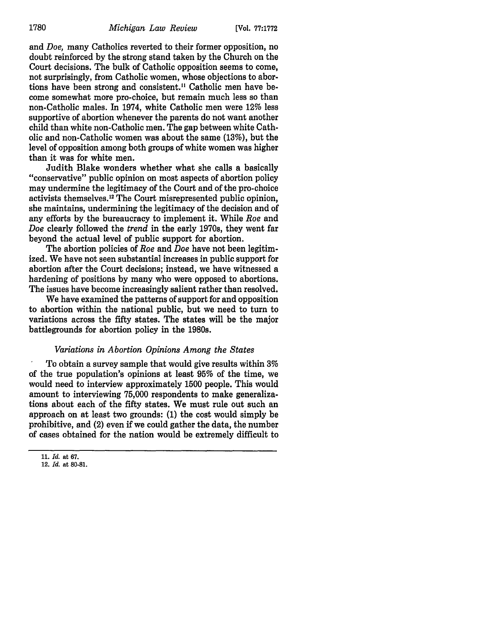and *Doe,* many Catholics reverted to their former opposition, no doubt reinforced by the strong stand taken by the Church on the Court decisions. The bulk of Catholic opposition seems to come, not surprisingly, from Catholic women, whose objections to abortions have been strong and consistent.<sup>11</sup> Catholic men have become somewhat more pro-choice, but remain much less so than non-Catholic males. In 1974, white Catholic men were 12% less supportive of abortion whenever the parents do not want another child than white non-Catholic men. The gap between white Catholic and non-Catholic women was about the same (13%), but the level of opposition among both groups of white women was higher than it was for white men.

Judith Blake wonders whether what she calls a basically "conservative" public opinion on most aspects of abortion policy may undermine the legitimacy of the Court and of the pro-choice activists themselves. 12 The Court misrepresented public opinion, she maintains, undermining the legitimacy of the decision and of any efforts by the bureaucracy to implement it. While *Roe* and *Doe* clearly followed the *trend* in the early 1970s, they went far beyond the actual level of public support for abortion.

The abortion policies of *Roe* and *Doe* have not been legitimized. We have not seen substantial increases in public support for abortion after the Court decisions; instead, we have witnessed a hardening of positions by many who were opposed to abortions. The issues have become increasingly salient rather than resolved.

We have examined the patterns of support for and opposition to abortion within the national public, but we need to turn to variations across the fifty states. The states will be the major battlegrounds for abortion policy in the 1980s.

### *Variations in Abortion Opinions Among the States*

To obtain a survey sample that would give results within 3% of the true population's opinions at least 95% of the time, we would need to interview approximately 1500 people. This would amount to interviewing 75,000 respondents to make generalizations about each of the fifty states. We must rule out such an approach on at least two grounds: (1) the cost would simply be prohibitive, and (2) even if we could gather the data, the number of cases obtained for the nation would be extremely difficult to

<sup>11.</sup> *Id.* at 67.

<sup>12.</sup> *Id.* at 80-81.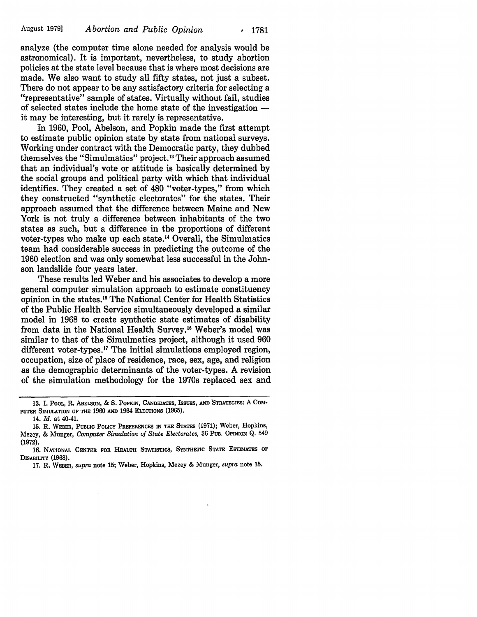analyze (the computer time alone needed for analysis would be astronomical). It is important, nevertheless, to study abortion policies at the state level because that is where most decisions are made. We also want to study all fifty states, not just a subset. There do not appear to be any satisfactory criteria for selecting a "representative" sample of states. Virtually without fail, studies of selected states include the home state of the investigation it may be interesting, but it rarely is representative.

In 1960, Pool, Abelson, and Popkin made the first attempt to estimate public opinion state by state from national surveys. Working under contract with the Democratic party, they dubbed themselves the "Simulmatics" project. 13 Their approach assumed that an individual's vote or attitude is basically determined by the social groups and political party with which that individual identifies. They created a set of 480 "voter-types," from which they constructed "synthetic electorates" for the states. Their approach assumed that the difference between Maine and New York is not truly a difference between inhabitants of the two states as such, but a difference in the proportions of different voter-types who make up each state. 14 Overall, the Simulmatics team had considerable success in predicting the putcome of the 1960 election and was only somewhat less successful in the Johnson landslide four years later.

These results led Weber and his associates to develop a more general computer simulation approach to estimate constituency opinion in the states. 15 The National Center for Health Statistics of the Public Health Service simultaneously developed a similar model in 1968 to create synthetic state estimates of disability from data in the National Health Survey. 16 Weber's model was similar to that of the Simulmatics project, although it used 960 different voter-types.<sup>17</sup> The initial simulations employed region, occupation, size of place of residence, race, sex; age, and religion as the demographic determinants of the voter-types. A revision of the simulation methodology for the 1970s replaced sex and

<sup>13.</sup> I. PooL, R. ABELSON, & S. PoPKIN, CANDIDATES, IssUES, AND STRATEGIES: A COM-PUTER SIMULATION OF THE 1960 AND 1964 ELECTIONS (1965).

<sup>14.</sup> *Id.* at 40-41.

<sup>15.</sup> R. WEBER, PUBLIC POLICY PREFERENCES IN THE STATES (1971); Weber, Hopkins, Mezey, & Munger, *Computer Simulation of State Electorates,* 36 PUB. OPINION Q. 549 (1972).

<sup>16.</sup> NATIONAL CENTER FOR HEALTH STATISTICS, SYNTHETIC STATE ESTIMATES OF DISABILITY (1968).

<sup>17.</sup> R. WEBER, *supra* note 15; Weber, Hopkins, Mezey & Munger, *supra* note 15.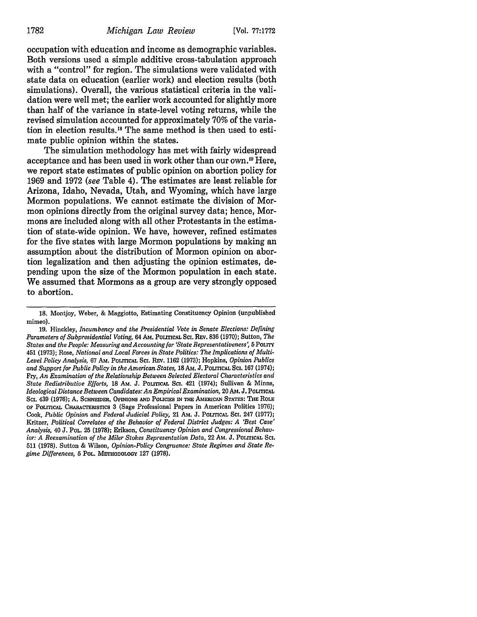occupation with education and income as demographic variables. Both versions used a simple additive cross-tabulation approach with a "control" for region. The simulations were validated with state data on education (earlier work) and election results (both simulations). Overall, the various statistical criteria in the validation were well met; the earlier work accounted for slightly more than half of the variance in state-level voting returns, while the revised simulation accounted for approximately 70% of the variation in election results. 18 The same method is then used to estimate public opinion within the states.

The simulation methodology has met with fairly widespread acceptance and has been used in work other than our own.<sup>19</sup> Here, we report state estimates of public opinion on abortion policy for 1969 and 1972 *(see* Table 4). The estimates are least reliable for Arizona, Idaho, Nevada, Utah, and Wyoming, which have large Mormon populations. We cannot estimate the division of Mormon opinions directly from the original survey data; hence, Mormons are included along with all other Protestants in the estimation of state-wide opinion. We have, however, refined estimates for the five states with large Mormon populations by making an assumption about the distribution of Mormon opinion on abortion legalization and then adjusting the opinion estimates, depending upon the size of the Mormon population in each state. We assumed that Mormons as a group are very strongly opposed to abortion.

<sup>18.</sup> Montjoy, Weber, & Maggiotto, Estimating Constituency Opinion (unpublished mimeo).

<sup>19.</sup> Hinckley, *Incumbency and the Presidential Vote in Senate Elections: Defining Parameters of Subpresidential Voting,* 64 AM. POLITICAL Set. REV. 836 (1970); Sutton, *The States and the People: Measuring and Accounting for 'State Representativeness',* 5 POLITY 451 (1973); Rose, *National and Local Forces in State Politics: The Implications of Multi• Level Policy Analysis,* 67 AM. POLITICAL Ser. REv. 1162 (1973); Hopkins, *Opinion Publics and Support for Public Policy in the American States,* 18 AM. J. POLITICAL Ser. 167 (1974); Fry, *An Examination of the Relationship Between Selected Electoral Characteristics and State Redistributive Efforts,* 18 AM. J. POLITICAL Ser. 421 (1974); Sullivan & Minns, *Ideological Distance Between Candidates: An Empirical Examination,* 20 AM. J, POLITICAL SCI. 439 (1976); A. SCHNEIDER, OPINIONS AND POLICIES IN THE AMERICAN STATES: THE ROLE OF POLITICAL CHARACTERISTICS 3 (Sage Professional Papers in American Politics 1976); Cook, *Public Opinion and Federal Judicial Policy,* 21 AM. J. POLITICAL Ser. 247 (1977); Kritzer, *Political Correlates of the Behavior of Federal District Judges: A 'Best Case' Analysis,* 40 J. PoL. 25 (1978); Erikson, *Constituency Opinion and Congressional Behav*ior: A Reexamination of the Miler Stokes Representation Data, 22 Am. J. POLITICAL SCI. 511 (1978). Sutton & Wilson, *Opinion-Policy Congruence: State Regimes and State Regime Differences,* 5 PoL. METHODOLOGY 127 (1978).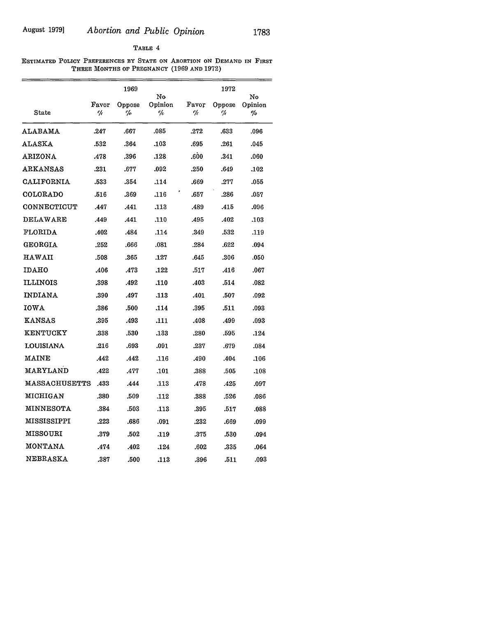ESTIMATED POLICY PREFERENCES BY STATE ON ABORTION ON DEMAND IN FIRST THREE MONTHS OF PREGNANCY (1969 AND 1972)

|                      |            | 1969        |                    |            | 1972        |                    |
|----------------------|------------|-------------|--------------------|------------|-------------|--------------------|
| State                | Favor<br>H | Oppose<br>% | No<br>Opinion<br>% | Favor<br>H | Oppose<br>H | No<br>Opinion<br>% |
| ALABAMA              | .247       | .667        | .085               | .272       | .633        | .096               |
| $\mathtt{ALASKA}$    | .532       | .364        | .103               | .695       | .261        | .045               |
| ARIZONA              | .478       | .396        | .128               | .600       | .341        | .060               |
| ARKANSAS             | .231       | .677        | .092               | .250       | .649        | .102               |
| CALIFORNIA           | .533       | .354        | .114               | .669       | .277        | .055               |
| COLORADO             | .516       | .369        | .116               | .657       | .286        | .057               |
| CONNECTICUT          | .447       | .441        | .113               | .489       | .415        | .096               |
| <b>DELAWARE</b>      | .449       | .441        | .110               | .495       | .402        | .103               |
| FLORIDA              | .402       | .484        | .114               | .349       | .532        | .119               |
| <b>GEORGIA</b>       | .252       | .666        | .081               | .284       | .622        | .094               |
| <b>HAWAII</b>        | .508       | .365        | .127               | .645       | .306        | .050               |
| <b>IDAHO</b>         | .406       | .473        | .122               | .517       | .416        | .067               |
| ILLINOIS             | .398       | .492        | .110               | .403       | .514        | .082               |
| INDIANA              | .390       | .497        | .113               | .401       | .507        | .092               |
| IOWA                 | .386       | .500        | .114               | .395       | .511        | .093               |
| KANSAS               | .395       | .493        | .111               | .408       | .499        | .093               |
| KENTUCKY             | .338       | .530        | .133               | .280       | .595        | .124               |
| <b>LOUISIANA</b>     | .216       | .693        | .091               | .237       | .679        | .084               |
| MAINE                | .442       | .442        | .116               | .490       | .404        | .106               |
| MARYLAND             | .422       | .477        | .101               | .388       | .505        | .108               |
| <b>MASSACHUSETTS</b> | .433       | .444        | .113               | .478       | .425        | .097               |
| MICHIGAN             | .380       | .509        | .112               | .388       | .526        | .086               |
| <b>MINNESOTA</b>     | .384       | .503        | .113               | .395       | .517        | .088               |
| MISSISSIPPI          | .223       | .686        | .091               | .232       | .669        | .099               |
| MISSOURI             | .379       | .502        | .119               | .375       | .530        | .094               |
| <b>MONTANA</b>       | .474       | .402        | .124               | .602       | .335        | .064               |
| NEBRASKA             | .387       | .500        | .113               | .396       | .511        | .093               |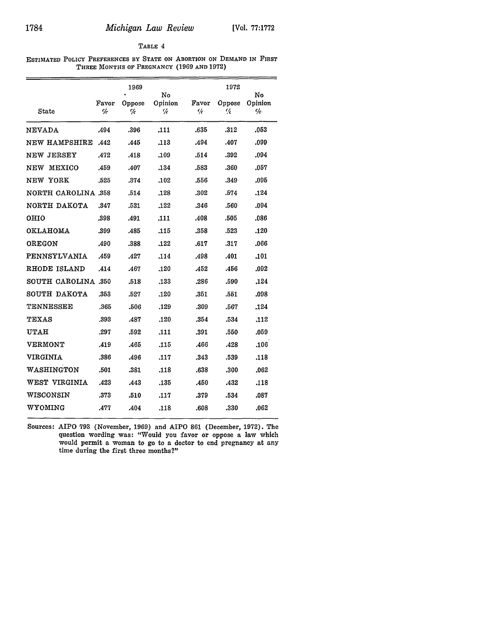ESTIMATED POLICY PREFERENCES BY STATE ON ABORTION ON DEMAND IN FIRST THREE MONTHS OF PREGNANCY (1969 AND 1972)

|                     |       | 1969   |               |       | 1972   |               |
|---------------------|-------|--------|---------------|-------|--------|---------------|
|                     | Favor | Oppose | No<br>Opinion | Favor | Oppose | No<br>Opinion |
| State               | %     | %      | %             | %     | %      | %             |
| <b>NEVADA</b>       | .494  | .396   | .111          | .635  | .312   | .053          |
| NEW HAMPSHIRE .442  |       | .445   | .113          | .494  | .407   | .099          |
| NEW JERSEY          | .472  | .418   | .109          | .514  | .392   | .094          |
| NEW<br>MEXICO       | .459  | .407   | .134          | .583  | .360   | .057          |
| NEW YORK            | .525  | .374   | .102          | .556  | .349   | .095          |
| NORTH CAROLINA .358 |       | .514   | .128          | .302  | .574   | .124          |
| NORTH DAKOTA        | .347  | .531   | .122          | .346  | .560   | .094          |
| OHIO                | .398  | .491   | .111          | .408  | .505   | .086          |
| OKLAHOMA            | .399  | .485   | .115          | .358  | .523   | .120          |
| <b>OREGON</b>       | .490  | .388   | .122          | .617  | .317   | .066          |
| PENNSYLVANIA        | .459  | .427   | .114          | .498  | .401   | .101          |
| RHODE ISLAND        | .414  | .467   | .120          | .452  | .456   | .092          |
| SOUTH CAROLINA 350  |       | .518   | .133          | .286  | .590   | .124          |
| SOUTH DAKOTA        | .353  | .527   | .120          | .351  | .551   | .098          |
| TENNESSEE           | .365  | .506   | .129          | .309  | .567   | .124          |
| TEXAS               | .393  | .487   | .120          | .354  | .534   | .112          |
| <b>UTAH</b>         | .297  | .592   | .111          | .391  | .550   | .059          |
| <b>VERMONT</b>      | .419  | .465   | .115          | .466  | .428   | .106          |
| VIRGINIA            | .386  | .496   | .117          | .343  | .539   | .118          |
| WASHINGTON          | .501  | .381   | .118          | .638  | .300   | .062          |
| WEST VIRGINIA       | .423  | .443   | .135          | .450  | .432   | .118          |
| WISCONSIN           | .373  | .510   | .117          | .379  | .534   | .087          |
| WYOMING             | .477  | .404   | .118          | .608  | .330   | .062          |

Sources: AIPO 793 (November, 1969) and AIPO 861 (December, 1972). The question wording was: "Would you favor or oppose a law which would permit a woman to go to a doctor to end pregnancy at any time during the first three months?"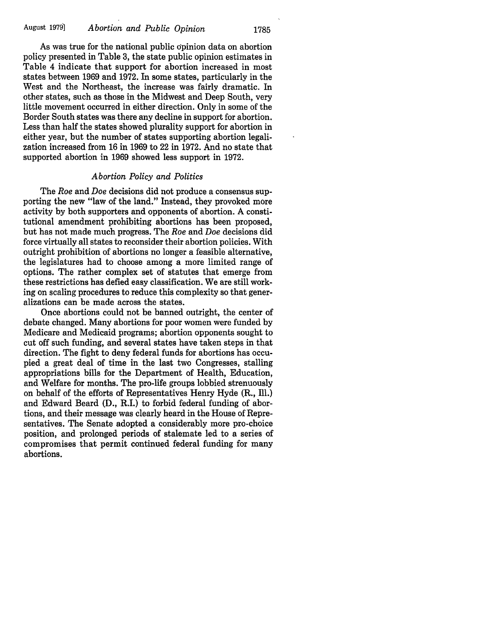As was true for the national public opinion data on abortion policy presented in Table 3, the state public opinion estimates in Table 4 indicate that support for abortion increased in most states between 1969 and 1972. In some states, particularly in the West and the Northeast, the increase was fairly dramatic. In other states, such as those in the Midwest and Deep South, very little movement occurred in either direction. Only in some of the Border South states was there any decline in support for abortion. Less than half the states showed plurality support for abortion in either year, but the number of states supporting abortion legalization increased from 16 in 1969 to 22 in 1972. And no state that supported abortion in 1969 showed less support in 1972.

# *Abortion Policy and Politics*

The *Roe* and *Doe* decisions did not produce a consensus supporting the new "law of the land." Instead, they provoked more activity by both supporters and opponents of abortion. A constitutional amendment prohibiting abortions has been proposed, but has not made much progress. The *Roe* and *Doe* decisions did force virtually all states to reconsider their abortion policies. With outright prohibition of abortions no longer a feasible alternative, the legislatures had to choose among a more limited range of options. The rather complex set of statutes that emerge from these restrictions has defied easy classification. We are still working on scaling procedures to reduce this complexity so that generalizations can be made across the states.

Once abortions could not be banned outright, the center of debate changed. Many abortions for poor women were funded by Medicare and Medicaid programs; abortion opponents sought to cut off such funding, and several states have taken steps in that direction. The fight to deny federal funds for abortions has occupied a great deal of time in the last two Congresses, stalling appropriations bills for the Department of Health, Education, and Welfare for months. The pro-life groups lobbied strenuously on behalf of the efforts of Representatives Henry Hyde (R., Ill.) and Edward Beard (D., R.I.) to forbid federal funding of abortions, and their message was clearly heard in the House of Representatives. The Senate adopted a considerably more pro-choice position, and prolonged periods of stalemate led to a series of compromises that permit continued federal funding for many abortions.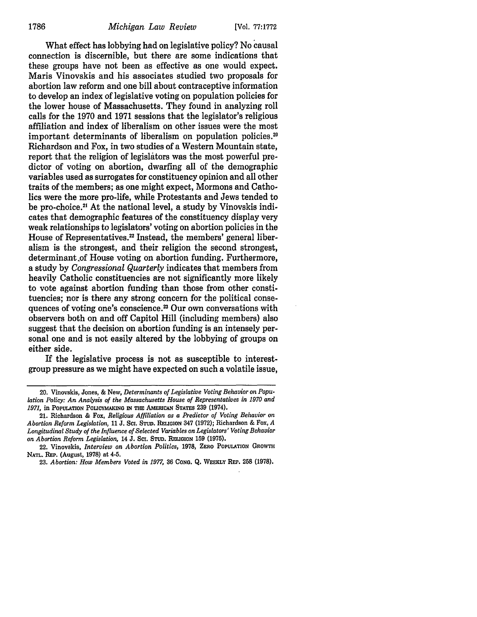What effect has lobbying had on legislative policy? No causal connection is discernible, but there are some indications that these groups have not been as effective as one would expect. Maris Vinovskis and his associates studied two proposals for abortion law reform and one bill about contraceptive information to develop an index of legislative voting on population policies for the lower house of Massachusetts. They found in analyzing roll calls for the 1970 and 1971 sessions that the legislator's religious affiliation and index of liberalism on other issues were the most important determinants of liberalism on population policies.<sup>20</sup> Richardson and Fox, in two studies of a Western Mountain state, report that the religion of legislators was the most powerful predictor of voting on abortion, dwarfing all of the demographic variables used as surrogates for constituency opinion and all other traits of the members; as one might expect, Mormons and Catholics were the more pro-life, while Protestants and Jews tended to be pro-choice.<sup>21</sup> At the national level, a study by Vinovskis indicates that demographic features of the constituency display very weak relationships to legislators' voting on abortion policies in the House of Representatives.<sup>22</sup> Instead, the members' general liberalism is the strongest, and their religion the second strongest, determinant.of House voting on abortion funding. Furthermore, a study by *Congressional Quarterly* indicates that members from heavily Catholic constituencies are not significantly more likely to vote against abortion funding than those from other constituencies; nor is there any strong concern for the political consequences of voting one's conscience. 23 Our own conversations with observers both on and off Capitol Hill (including members) also suggest that the decision on abortion funding is an intensely personal one and is not easily altered by the lobbying of groups on either side.

If the legislative process is not as susceptible to interestgroup pressure as we might have expected on such a volatile issue,

<sup>20.</sup> Vinovskis, Jones, & New, *Determinants of Legislative Voting Behavior on Population Policy: An Analysis of the Massachusetts House of Representatives in 1970 and*  1971, in POPULATION POLICYMAKING IN THE AMERICAN STATES 239 (1974).

<sup>21.</sup> Richardson & Fox, *Religious Affiliation as a Predictor of Voting Behavior on Abortion Reform Legislation,* 11 J. Ser. STIJD. RELIGION 347 (1972); Richardson & Fox, *A Longitudinal Study of the Influence of Selected Variables on Legislators' Voting Behavior on Abortion Reform Legislation,* 14 J. Scr. STIJD. RELIGION 159 (1975).

<sup>22.</sup> Vinovskis, *Interview on Abortion Politics,* 1978, ZERO POPULATION GROWTH NATL. REP. (August, 1978) at 4-5.

<sup>23.</sup> *Abortion: How Members Voted in 1977,* 36 CONG. Q. WEEKLY REP. 258 (1978).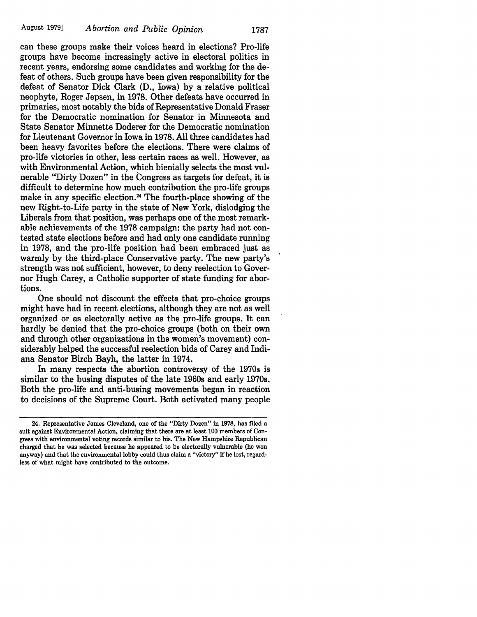can these groups make their voices heard in elections? Pro-life groups have become increasingly active in electoral politics in recent years, endorsing some candidates and working for the defeat of others. Such groups have been given responsibility for the defeat of Senator Dick Clark (D., Iowa) by a relative political neophyte, Roger Jepsen, in 1978. Other defeats have occurred in primaries, most notably the bids of Representative Donald Fraser for the Democratic nomination for Senator in Minnesota and State Senator Minnette Doderer for the Democratic nomination for Lieutenant Governor in Iowa in 1978. All three candidates had been heavy favorites before the elections. There were claims of pro-life victories in other, less certain races as well. However, as with Environmental Action, which bienially selects the most vulnerable "Dirty Dozen" in the Congress as targets for defeat, it is difficult to determine how much contribution the pro-life groups make in any specific election.24 The fourth-place showing of the new Right-to-Life party in the state of New York, dislodging the Liberals from that position, was perhaps one of the most remarkable achievements of the 1978 campaign: the party had not contested state elections before and had only one candidate running in 1978, and the pro-life position had been embraced just as warmly by the third-place Conservative party. The new party's strength was not sufficient, however, to deny reelection to Governor Hugh Carey, a Catholic supporter of state funding for abortions.

One should not discount the effects that pro-choice groups might have had in recent elections, although they are not as well organized or as electorally active as the pro-life groups. It can hardly be denied that the pro-choice groups (both on their own and through other organizations in the women's movement) considerably helped the successful reelection bids of Carey and Indiana Senator Birch Bayh, the latter in 1974.

In many respects the abortion controversy of the 1970s is similar to the busing disputes of the late 1960s and early 1970s. Both the pro-life and anti-busing movements began in reaction to decisions of the Supreme Court. Both activated many people

<sup>24.</sup> Representative James Cleveland, one of the "Dirty Dozen" in 1978, has filed a suit against Environmental Action, claiming that there are at least 100 members of Congress with environmental voting records similar to his. The New Hampshire Republican charged that he was selected because he appeared to be electorally vulnerable (he won anyway) and that the environmental lobby could thus claim a "victory" if he lost, regardless of what might have contributed to the outcome.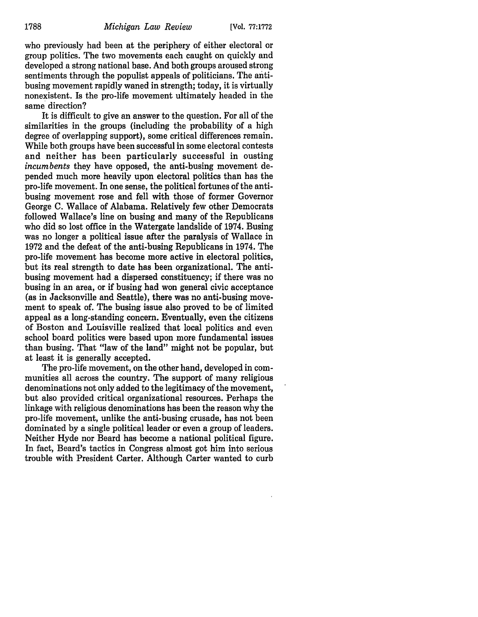who previously had been at the periphery of either electoral or group politics. The two movements each caught on quickly and developed a strong national base. And both groups aroused strong sentiments through the populist appeals of politicians. The antibusing movement rapidly waned in strength; today, it is virtually nonexistent. Is the pro-life movement ultimately headed in the same direction?

It is difficult to give an answer to the question. For all of the similarities in the groups (including the probability of a high degree of overlapping support), some critical differences remain. While both groups have been successful in some electoral contests and neither has been particularly successful in ousting *incumbents* they have opposed, the anti-busing movement depended much more heavily upon electoral politics than has the pro-life movement. In one sense, the political fortunes of the antibusing movement rose and fell with those of former Governor George C. Wallace of Alabama. Relatively few other Democrats followed Wallace's line on busing and many of the Republicans who did so lost office in the Watergate landslide of 1974. Busing was no longer a political issue after the paralysis of Wallace in 1972 and the defeat of the anti-busing Republicans in 1974. The pro-life movement has become more active in electoral politics, but its real strength to date has been organizational. The antibusing movement had a dispersed constituency; if there was no busing in an area, or if busing had won general civic acceptance (as in Jacksonville and Seattle), there was no anti-busing movement to speak of. The busing issue also proved to be of limited appeal as a long-standing concern. Eventually, even the citizens of Boston and Louisville realized that local politics and even school board politics were based upon more fundamental issues than busing. That "law of the land" might not be popular, but at least it is generally accepted.

The pro-life movement, on the other hand, developed in communities all across the country. The support of many religious denominations not only added to the legitimacy of the movement, but also provided critical organizational resources. Perhaps the linkage with religious denominations has been the reason why the pro-life movement, unlike the anti-busing crusade, has not been dominated by a single political leader or even a group of leaders. Neither Hyde nor Beard has become a national political figure. In fact, Beard's tactics in Congress almost got him into serious trouble with President Carter. Although Carter wanted to curb